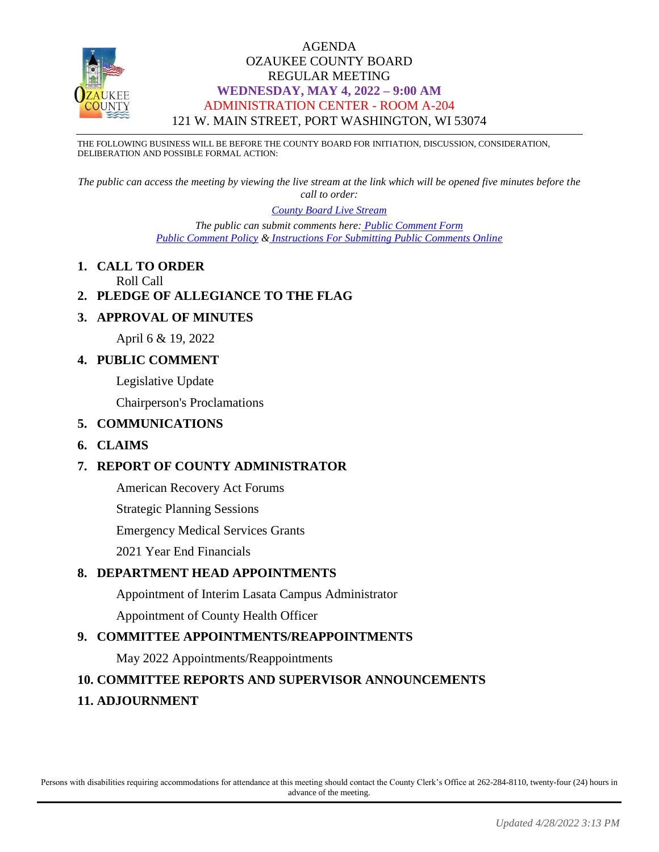

THE FOLLOWING BUSINESS WILL BE BEFORE THE COUNTY BOARD FOR INITIATION, DISCUSSION, CONSIDERATION, DELIBERATION AND POSSIBLE FORMAL ACTION:

*The public can access the meeting by viewing the live stream at the link which will be opened five minutes before the call to order:*

*[County Board Live Stream](https://www.youtube.com/channel/UCQ16yLTEJmJo_h02WDDqcqg)*

*The public can submit comments here: [Public Comment Form](https://www.co.ozaukee.wi.us/FormCenter/Email-Forms-28/Email-Public-Comment-300) [Public Comment Policy](https://www.co.ozaukee.wi.us/2663/Public-Comments-at-In-Person-Meetings) & [Instructions For Submitting Public Comments Online](https://www.co.ozaukee.wi.us/2645/Public-Comments-at-Zoom-Meetings)*

## **1. CALL TO ORDER**

Roll Call

## **2. PLEDGE OF ALLEGIANCE TO THE FLAG**

### **3. APPROVAL OF MINUTES**

April 6 & 19, 2022

## **4. PUBLIC COMMENT**

Legislative Update

Chairperson's Proclamations

#### **5. COMMUNICATIONS**

### **6. CLAIMS**

## **7. REPORT OF COUNTY ADMINISTRATOR**

American Recovery Act Forums

Strategic Planning Sessions

Emergency Medical Services Grants

2021 Year End Financials

### **8. DEPARTMENT HEAD APPOINTMENTS**

Appointment of Interim Lasata Campus Administrator Appointment of County Health Officer

## **9. COMMITTEE APPOINTMENTS/REAPPOINTMENTS**

May 2022 Appointments/Reappointments

### **10. COMMITTEE REPORTS AND SUPERVISOR ANNOUNCEMENTS**

### **11. ADJOURNMENT**

Persons with disabilities requiring accommodations for attendance at this meeting should contact the County Clerk's Office at 262-284-8110, twenty-four (24) hours in advance of the meeting.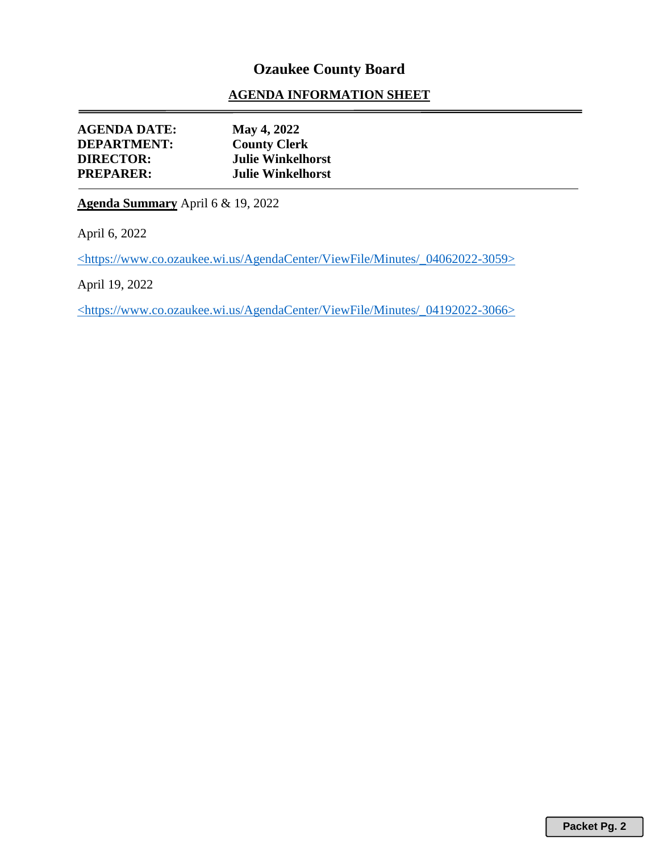## **AGENDA INFORMATION SHEET**

| <b>AGENDA DATE:</b> | May 4, 2022              |
|---------------------|--------------------------|
| <b>DEPARTMENT:</b>  | <b>County Clerk</b>      |
| <b>DIRECTOR:</b>    | <b>Julie Winkelhorst</b> |
| <b>PREPARER:</b>    | <b>Julie Winkelhorst</b> |
|                     |                          |

**Agenda Summary** April 6 & 19, 2022

April 6, 2022

<https://www.co.ozaukee.wi.us/AgendaCenter/ViewFile/Minutes/\_04062022-3059>

April 19, 2022

<https://www.co.ozaukee.wi.us/AgendaCenter/ViewFile/Minutes/\_04192022-3066>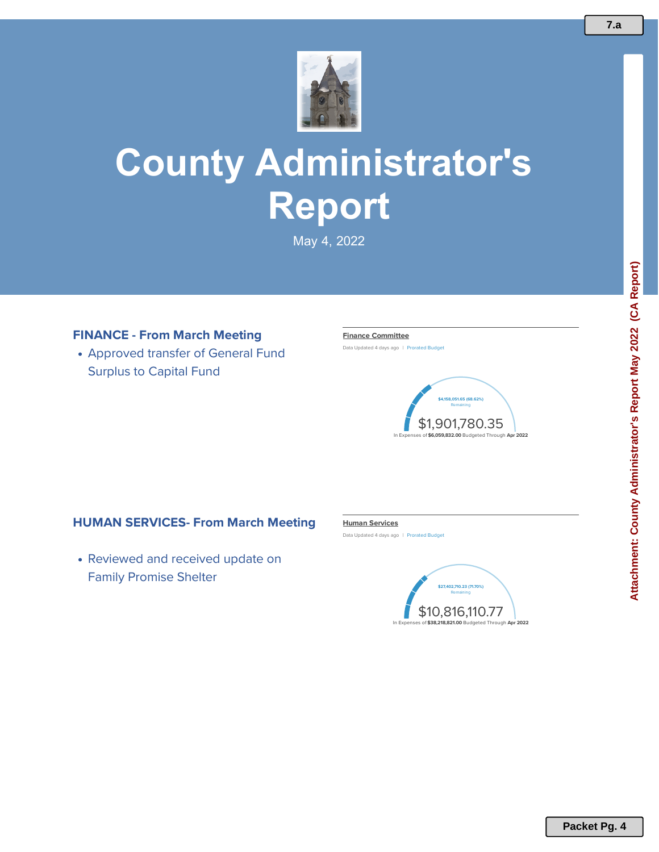

# **County Administrator's Report**

May 4, 2022

## **FINANCE - From March Meeting**

Approved transfer of General Fund Surplus to Capital Fund

#### **Finance [Committee](https://controlpanel.opengov.com/reports#/ozaukeecountywi/60609/accountType=expenses&breakdown=types¤tYearAmount=cumulative¤tYearPeriod=months&fiscal_end=latest&fiscal_start=earliest&graph=stacked&highlighting=false&highlightingVariance&legendSort=desc&month=4&projectionType=null&projections=false&proration=true&saved_view=307389&selectedDataSetIndex=null&selection=D39184525F181D75DB7527108483F5E0&year=2022)**

Data Updated 4 days ago | Prorated Budget



### **HUMAN SERVICES- From March Meeting**

• Reviewed and received update on Family Promise Shelter

#### **Human [Services](https://controlpanel.opengov.com/reports#/ozaukeecountywi/60609/accountType=expenses&breakdown=53fc8c9c-4d1c-47d1-a03e-4b4e36c25ad8¤tYearAmount=cumulative¤tYearPeriod=months&fiscal_end=latest&fiscal_start=earliest&graph=stacked&highlighting=false&highlightingVariance&legendSort=coa&month=4&projectionType=null&projections=false&proration=false&saved_view=307384&selectedDataSetIndex=null&selection=81CAD0D4EB51936BEDB9C98317DC3007&year=2022)**

Data Updated 4 days ago | Prorated Budget



**7.a**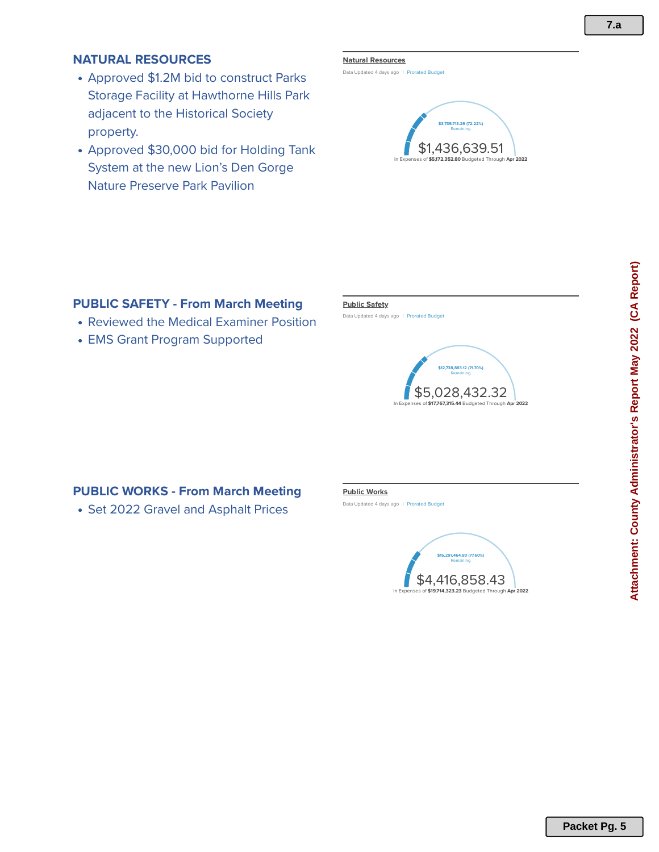## **NATURAL RESOURCES**

- Approved \$1.2M bid to construct Parks Storage Facility at Hawthorne Hills Park adjacent to the Historical Society property.
- Approved \$30,000 bid for Holding Tank System at the new Lion's Den Gorge Nature Preserve Park Pavilion

#### **Natural [Resources](https://controlpanel.opengov.com/reports#/ozaukeecountywi/60609/accountType=expenses&breakdown=types¤tYearAmount=cumulative¤tYearPeriod=months&fiscal_end=latest&fiscal_start=earliest&graph=stacked&highlighting=false&highlightingVariance&legendSort=desc&month=1&projectionType=null&projections=false&proration=false&saved_view=307385&selectedDataSetIndex=null&selection=CD1BB59AB5DB4403786843BC2C40618F&year=2022)**

Data Updated 4 days ago | Prorated Budget



## **PUBLIC SAFETY -From March Meeting**

- Reviewed the Medical Examiner Position
- EMS Grant Program Supported

#### **Public [Safety](https://controlpanel.opengov.com/reports#/ozaukeecountywi/60609/accountType=expenses&breakdown=types¤tYearAmount=cumulative¤tYearPeriod=months&fiscal_end=latest&fiscal_start=earliest&graph=stacked&highlighting=false&highlightingVariance&legendSort=desc&month=4&projectionType=null&projections=false&proration=false&saved_view=307386&selectedDataSetIndex=null&selection=5FD3B8E52392B2362579E23D69FC4966&year=2022)**

Data Updated 4 days ago | Prorated Budget



## **PUBLIC WORKS - From March Meeting**

• Set 2022 Gravel and Asphalt Prices

#### **Public [Works](https://controlpanel.opengov.com/reports#/ozaukeecountywi/60609/accountType=expenses&breakdown=types¤tYearAmount=cumulative¤tYearPeriod=months&fiscal_end=latest&fiscal_start=earliest&graph=stacked&highlighting=false&highlightingVariance&legendSort=desc&month=4&projectionType=null&projections=false&proration=false&saved_view=307387&selectedDataSetIndex=null&selection=E2E3A4A56A0F7A1DCE76F87436909E86&year=2022)**

Data Updated 4 days ago | Prorated Budget

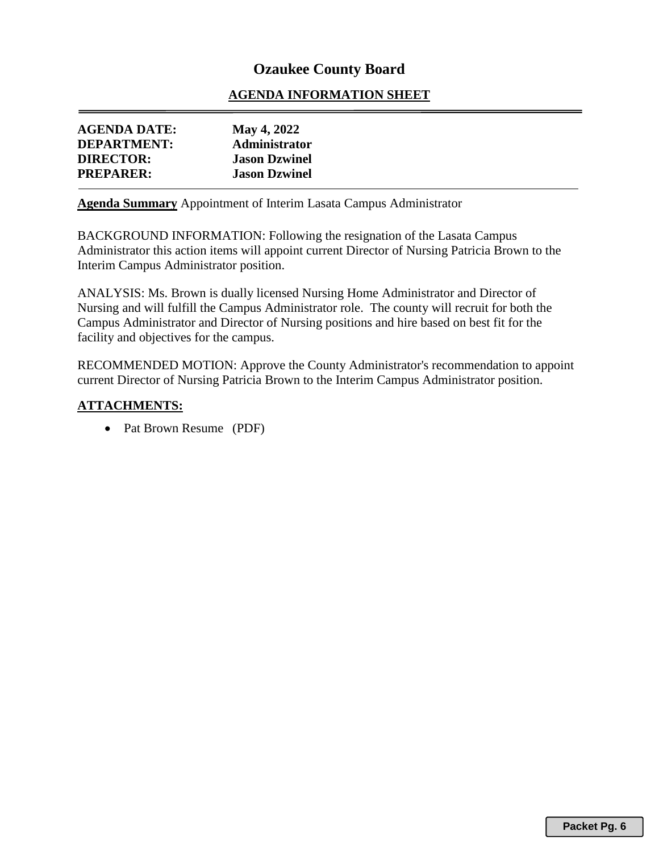## **AGENDA INFORMATION SHEET**

| <b>AGENDA DATE:</b> | May 4, 2022          |
|---------------------|----------------------|
| <b>DEPARTMENT:</b>  | <b>Administrator</b> |
| <b>DIRECTOR:</b>    | <b>Jason Dzwinel</b> |
| <b>PREPARER:</b>    | <b>Jason Dzwinel</b> |

**Agenda Summary** Appointment of Interim Lasata Campus Administrator

BACKGROUND INFORMATION: Following the resignation of the Lasata Campus Administrator this action items will appoint current Director of Nursing Patricia Brown to the Interim Campus Administrator position.

ANALYSIS: Ms. Brown is dually licensed Nursing Home Administrator and Director of Nursing and will fulfill the Campus Administrator role. The county will recruit for both the Campus Administrator and Director of Nursing positions and hire based on best fit for the facility and objectives for the campus.

RECOMMENDED MOTION: Approve the County Administrator's recommendation to appoint current Director of Nursing Patricia Brown to the Interim Campus Administrator position.

### **ATTACHMENTS:**

• Pat Brown Resume (PDF)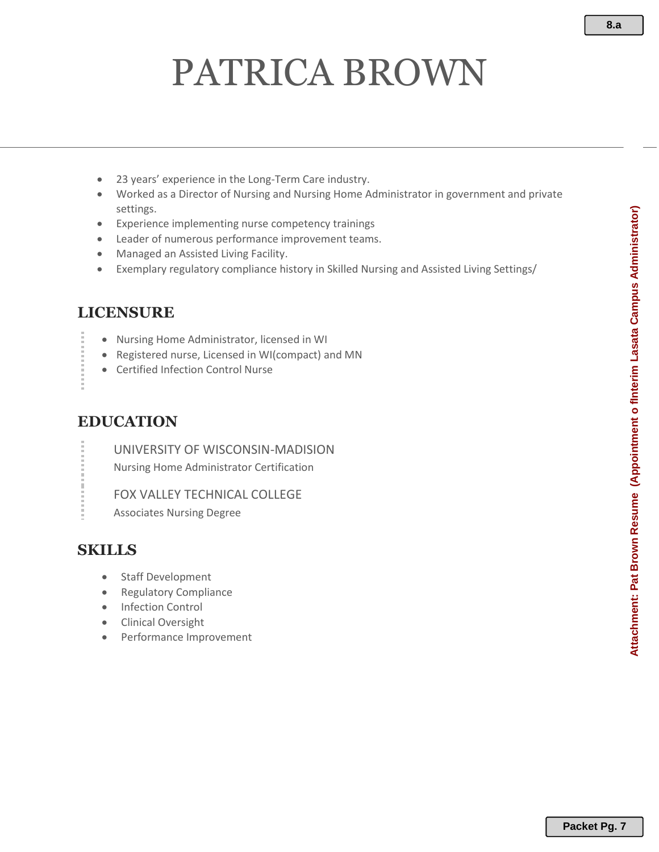# PATRICA BROWN

- 23 years' experience in the Long-Term Care industry.
- Worked as a Director of Nursing and Nursing Home Administrator in government and private settings.
- Experience implementing nurse competency trainings
- Leader of numerous performance improvement teams.
- Managed an Assisted Living Facility.
- Exemplary regulatory compliance history in Skilled Nursing and Assisted Living Settings/

## **LICENSURE**

- Nursing Home Administrator, licensed in WI
- Registered nurse, Licensed in WI(compact) and MN
- Certified Infection Control Nurse

## **EDUCATION**

UNIVERSITY OF WISCONSIN-MADISION Nursing Home Administrator Certification

FOX VALLEY TECHNICAL COLLEGE

Associates Nursing Degree

## **SKILLS**

- Staff Development
- Regulatory Compliance
- Infection Control
- Clinical Oversight
- Performance Improvement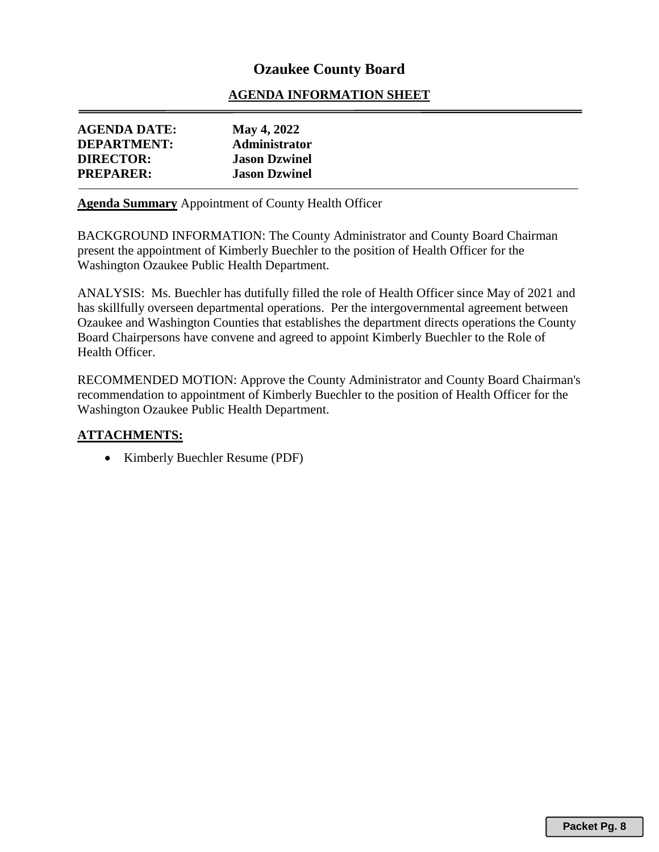## **AGENDA INFORMATION SHEET**

| <b>DIRECTOR:</b><br><b>Jason Dzwinel</b> | <b>AGENDA DATE:</b><br><b>DEPARTMENT:</b> | <b>May 4, 2022</b><br><b>Administrator</b> |
|------------------------------------------|-------------------------------------------|--------------------------------------------|
|                                          |                                           |                                            |
|                                          | <b>PREPARER:</b>                          | <b>Jason Dzwinel</b>                       |

**Agenda Summary** Appointment of County Health Officer

BACKGROUND INFORMATION: The County Administrator and County Board Chairman present the appointment of Kimberly Buechler to the position of Health Officer for the Washington Ozaukee Public Health Department.

ANALYSIS: Ms. Buechler has dutifully filled the role of Health Officer since May of 2021 and has skillfully overseen departmental operations. Per the intergovernmental agreement between Ozaukee and Washington Counties that establishes the department directs operations the County Board Chairpersons have convene and agreed to appoint Kimberly Buechler to the Role of Health Officer.

RECOMMENDED MOTION: Approve the County Administrator and County Board Chairman's recommendation to appointment of Kimberly Buechler to the position of Health Officer for the Washington Ozaukee Public Health Department.

### **ATTACHMENTS:**

• Kimberly Buechler Resume (PDF)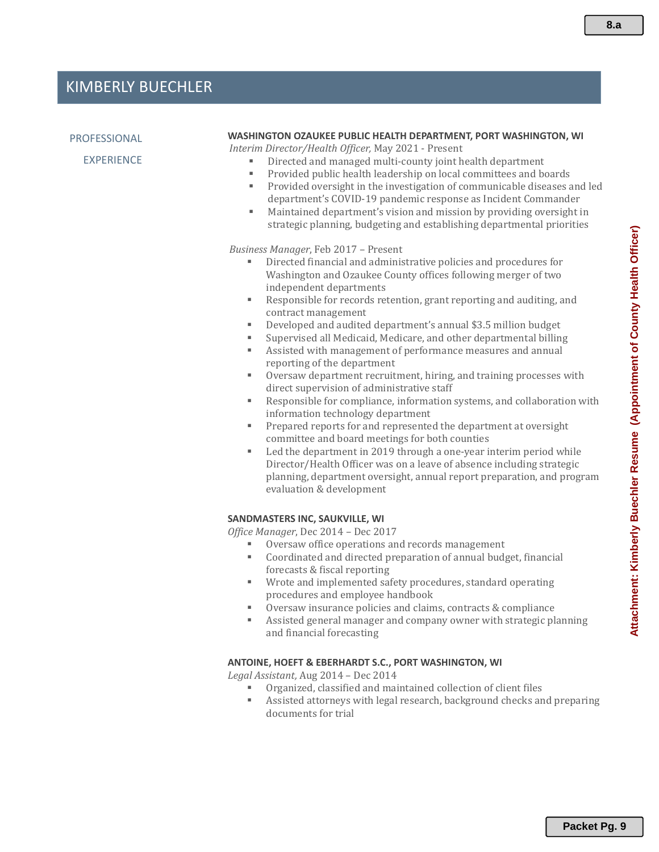#### PROFESSIONAL

EXPERIENCE

#### **WASHINGTON OZAUKEE PUBLIC HEALTH DEPARTMENT, PORT WASHINGTON, WI**

*Interim Director/Health Officer,* May 2021 - Present

- Directed and managed multi-county joint health department
- Provided public health leadership on local committees and boards
- Provided oversight in the investigation of communicable diseases and led department's COVID-19 pandemic response as Incident Commander
- Maintained department's vision and mission by providing oversight in strategic planning, budgeting and establishing departmental priorities

#### *Business Manager*, Feb 2017 – Present

- Directed financial and administrative policies and procedures for Washington and Ozaukee County offices following merger of two independent departments
- Responsible for records retention, grant reporting and auditing, and contract management
- Developed and audited department's annual \$3.5 million budget
- Supervised all Medicaid, Medicare, and other departmental billing
- Assisted with management of performance measures and annual reporting of the department
- Oversaw department recruitment, hiring, and training processes with direct supervision of administrative staff
- Responsible for compliance, information systems, and collaboration with information technology department
- Prepared reports for and represented the department at oversight committee and board meetings for both counties
- Led the department in 2019 through a one-year interim period while Director/Health Officer was on a leave of absence including strategic planning, department oversight, annual report preparation, and program evaluation & development

#### **SANDMASTERS INC, SAUKVILLE, WI**

*Office Manager*, Dec 2014 – Dec 2017

- Oversaw office operations and records management
- Coordinated and directed preparation of annual budget, financial forecasts & fiscal reporting
- Wrote and implemented safety procedures, standard operating procedures and employee handbook
- Oversaw insurance policies and claims, contracts & compliance
- Assisted general manager and company owner with strategic planning and financial forecasting

#### **ANTOINE, HOEFT & EBERHARDT S.C., PORT WASHINGTON, WI**

*Legal Assistant,* Aug 2014 – Dec 2014

- Organized, classified and maintained collection of client files
- Assisted attorneys with legal research, background checks and preparing documents for trial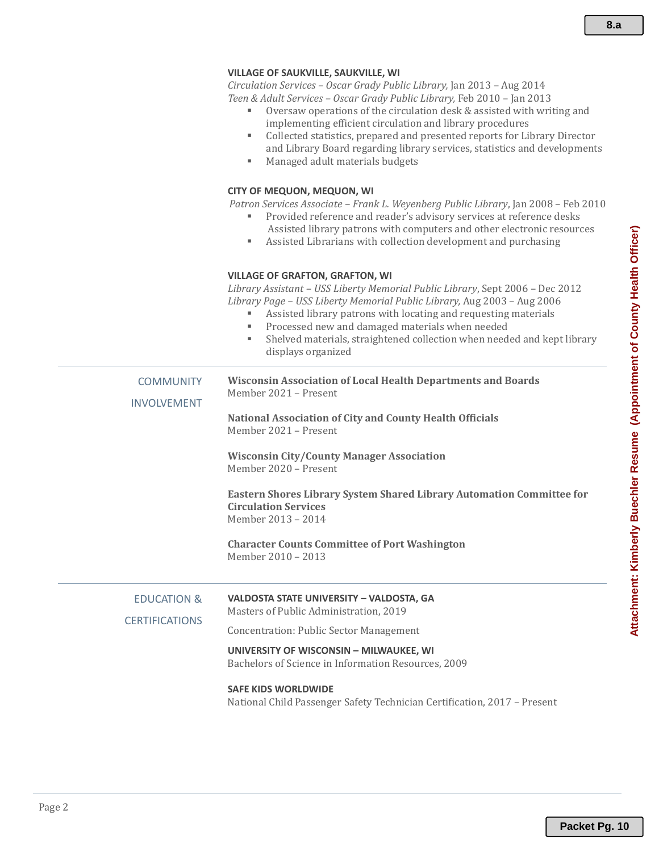#### **VILLAGE OF SAUKVILLE, SAUKVILLE, WI**

*Circulation Services – Oscar Grady Public Library,* Jan 2013 – Aug 2014 *Teen & Adult Services – Oscar Grady Public Library,* Feb 2010 – Jan 2013

- Oversaw operations of the circulation desk & assisted with writing and implementing efficient circulation and library procedures
- Collected statistics, prepared and presented reports for Library Director and Library Board regarding library services, statistics and developments
- Managed adult materials budgets

#### **CITY OF MEQUON, MEQUON, WI**

*Patron Services Associate – Frank L. Weyenberg Public Library*, Jan 2008 – Feb 2010

- Provided reference and reader's advisory services at reference desks Assisted library patrons with computers and other electronic resources
- Assisted Librarians with collection development and purchasing

#### **VILLAGE OF GRAFTON, GRAFTON, WI**

*Library Assistant – USS Liberty Memorial Public Library*, Sept 2006 – Dec 2012 *Library Page – USS Liberty Memorial Public Library,* Aug 2003 – Aug 2006

- Assisted library patrons with locating and requesting materials
	- Processed new and damaged materials when needed
- Shelved materials, straightened collection when needed and kept library displays organized

| <b>COMMUNITY</b><br><b>INVOLVEMENT</b>          | <b>Wisconsin Association of Local Health Departments and Boards</b><br>Member 2021 - Present<br><b>National Association of City and County Health Officials</b><br>Member 2021 - Present<br><b>Wisconsin City/County Manager Association</b><br>Member 2020 - Present<br>Eastern Shores Library System Shared Library Automation Committee for<br><b>Circulation Services</b><br>Member 2013 - 2014<br><b>Character Counts Committee of Port Washington</b><br>Member 2010 - 2013 |
|-------------------------------------------------|-----------------------------------------------------------------------------------------------------------------------------------------------------------------------------------------------------------------------------------------------------------------------------------------------------------------------------------------------------------------------------------------------------------------------------------------------------------------------------------|
| <b>EDUCATION &amp;</b><br><b>CERTIFICATIONS</b> | VALDOSTA STATE UNIVERSITY - VALDOSTA, GA<br>Masters of Public Administration, 2019<br><b>Concentration: Public Sector Management</b><br>UNIVERSITY OF WISCONSIN - MILWAUKEE, WI<br>Bachelors of Science in Information Resources, 2009                                                                                                                                                                                                                                            |
|                                                 | <b>SAFE KIDS WORLDWIDE</b>                                                                                                                                                                                                                                                                                                                                                                                                                                                        |

National Child Passenger Safety Technician Certification, 2017 – Present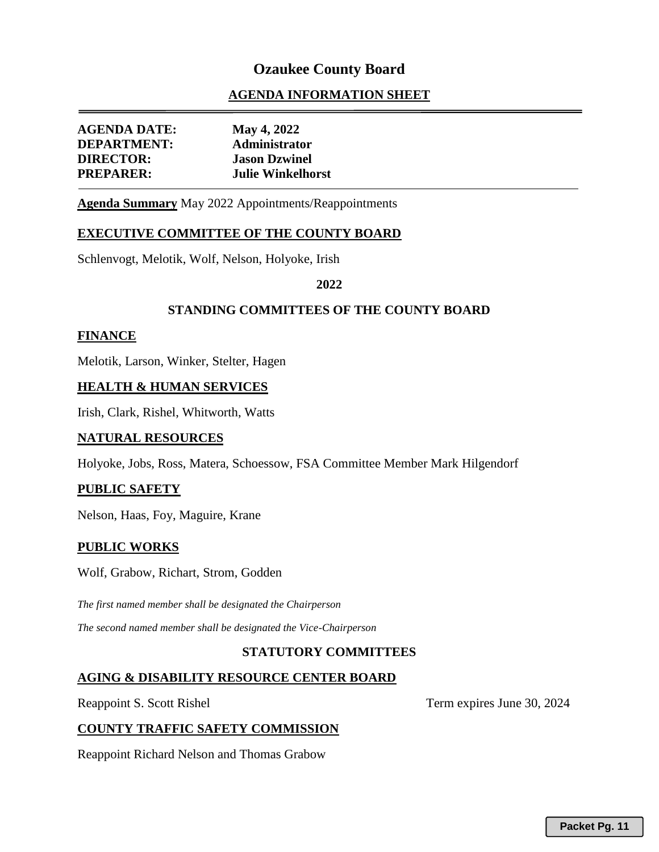## **AGENDA INFORMATION SHEET**

| <b>AGENDA DATE:</b> | May 4, 2022              |
|---------------------|--------------------------|
| <b>DEPARTMENT:</b>  | Administrator            |
| <b>DIRECTOR:</b>    | <b>Jason Dzwinel</b>     |
| <b>PREPARER:</b>    | <b>Julie Winkelhorst</b> |
|                     |                          |

**Agenda Summary** May 2022 Appointments/Reappointments

#### **EXECUTIVE COMMITTEE OF THE COUNTY BOARD**

Schlenvogt, Melotik, Wolf, Nelson, Holyoke, Irish

#### **2022**

#### **STANDING COMMITTEES OF THE COUNTY BOARD**

#### **FINANCE**

Melotik, Larson, Winker, Stelter, Hagen

#### **HEALTH & HUMAN SERVICES**

Irish, Clark, Rishel, Whitworth, Watts

#### **NATURAL RESOURCES**

Holyoke, Jobs, Ross, Matera, Schoessow, FSA Committee Member Mark Hilgendorf

#### **PUBLIC SAFETY**

Nelson, Haas, Foy, Maguire, Krane

#### **PUBLIC WORKS**

Wolf, Grabow, Richart, Strom, Godden

*The first named member shall be designated the Chairperson The second named member shall be designated the Vice-Chairperson* 

#### **STATUTORY COMMITTEES**

#### **AGING & DISABILITY RESOURCE CENTER BOARD**

Reappoint S. Scott Rishel Term expires June 30, 2024

### **COUNTY TRAFFIC SAFETY COMMISSION**

Reappoint Richard Nelson and Thomas Grabow